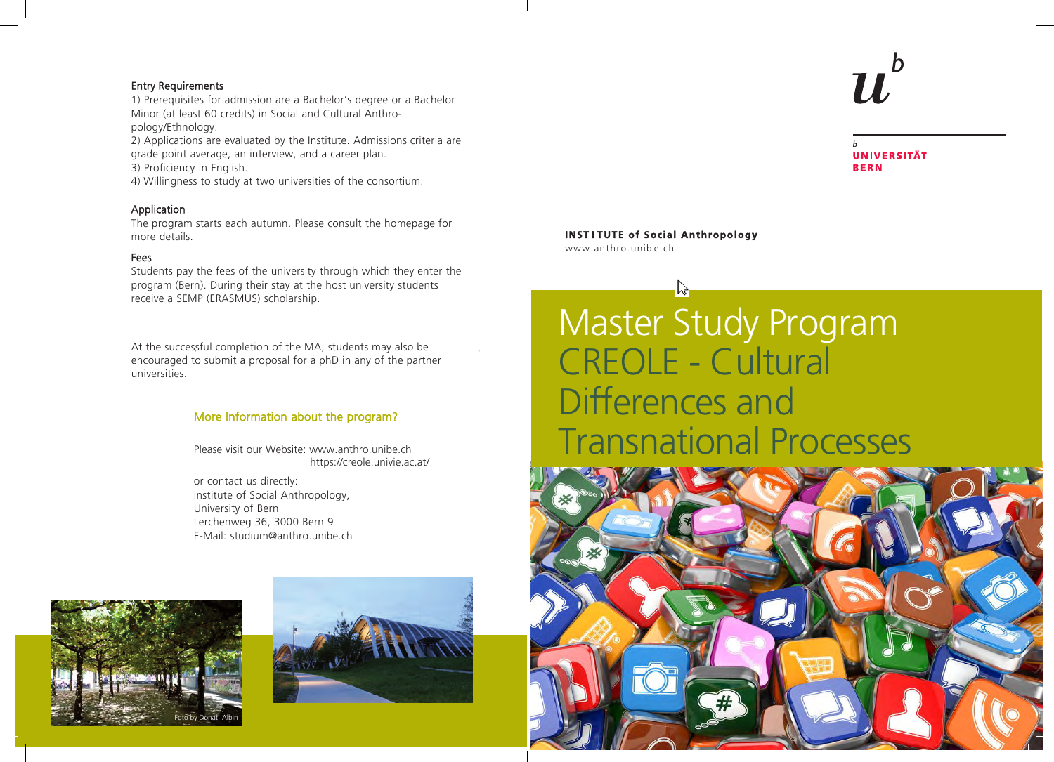#### Entry Requirements

1) Prerequisites for admission are a Bachelor's degree or a Bachelor Minor (at least 60 credits) in Social and Cultural Anthropology/Ethnology.

2) Applications are evaluated by the Institute. Admissions criteria are grade point average, an interview, and a career plan.

- 3) Proficiency in English.
- 4) Willingness to study at two universities of the consortium.

## Application

The program starts each autumn. Please consult the homepage for more details.

## Fees

Students pay the fees of the university through which they enter the program (Bern). During their stay at the host university students receive a SEMP (ERASMUS) scholarship.

At the successful completion of the MA, students may also be encouraged to submit a proposal for a phD in any of the partner universities.

# More Information about the program?

Please visit our Website: www.anthro.unibe.ch https://creole.univie.ac.at/

or contact us directly: Institute of Social Anthropology, University of Bern Lerchenweg 36, 3000 Bern 9 E-Mail: studium@anthro.unibe.ch





# $\boldsymbol{u}$

**UNIVERSITÄT BERN** 

# **INST I TUTE of Social Anthropology**

www.anthro.unib e.ch

# Master Study Program CREOLE - Cultural Differences and Transnational Processes